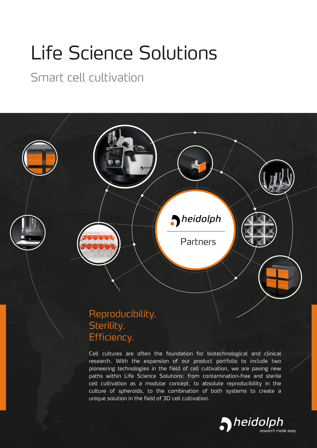# Life Science Solutions

### Smart cell cultivation



Efficiency.

Cell cultures are often the foundation for biotechnological and clinical research. With the expansion of our product portfolio to include two pioneering technologies in the field of cell cultivation, we are paving new paths within Life Science Solutions: from contamination-free and sterile cell cultivation as a modular concept, to absolute reproducibility in the culture of spheroids, to the combination of both systems to create a unique solution in the field of 3D cell cultivation.

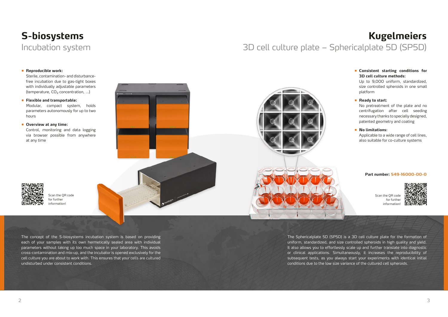The concept of the S-biosystems incubation system is based on providing each of your samples with its own hermetically sealed area with individual parameters without taking up too much space in your laboratory. This avoids cross-contamination and mix-up, and the incubator is opened exclusively for the cell culture you are about to work with. This ensures that your cells are cultured undisturbed under consistent conditions.

Sterile, contamination- and disturbancefree incubation due to gas-tight boxes with individually adjustable parameters (temperature,  $CO<sub>2</sub>$  concentration, ...)

## **S-biosystems**  Incubation system

#### **• Reproducible work:**

**• Flexible and transportable:** 

Modular, compact system, holds parameters autonomously for up to two hours

#### **• Overview at any time:**

Control, monitoring and data logging via browser possible from anywhere at any time

> Scan the QR code for further information!





The Sphericalplate 5D (SP5D) is a 3D cell culture plate for the formation of uniform, standardized, and size controlled spheroids in high quality and yield. It also allows you to effortlessly scale up and further translate into diagnostic or clinical applications. Simultaneously, it increases the reproducibility of subsequent tests, as you always start your experiments with identical initial conditions due to the low size variance of the cultured cell spheroids.

# **Kugelmeiers**  3D cell culture plate – Sphericalplate 5D (SP5D)

Scan the QR code for further information!



#### **Part number: 549-16000-00-0**

#### **• Consistent starting conditions for 3D cell culture methods:**

Up to 9,000 uniform, standardized, size controlled spheroids in one small platform

#### **• Ready to start:**

No pretreatment of the plate and no centrifugation after cell seeding necessary thanks to specially designed, patented geometry and coating

#### **• No limitations:**

Applicable to a wide range of cell lines, also suitable for co-culture systems